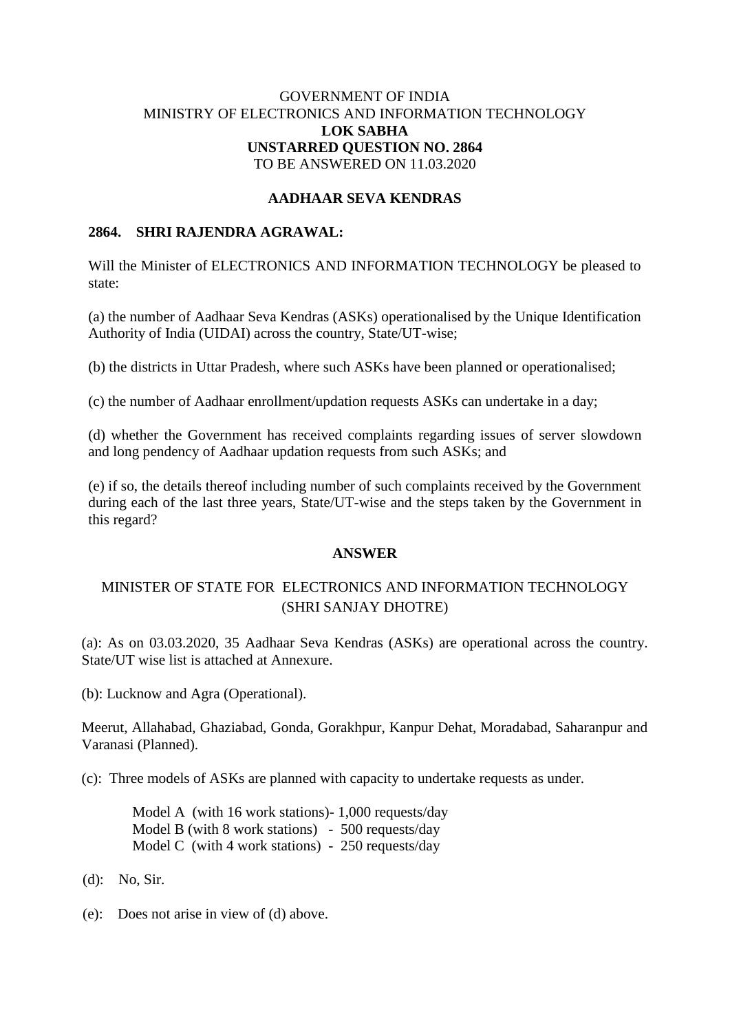# GOVERNMENT OF INDIA MINISTRY OF ELECTRONICS AND INFORMATION TECHNOLOGY **LOK SABHA UNSTARRED QUESTION NO. 2864** TO BE ANSWERED ON 11.03.2020

## **AADHAAR SEVA KENDRAS**

## **2864. SHRI RAJENDRA AGRAWAL:**

Will the Minister of ELECTRONICS AND INFORMATION TECHNOLOGY be pleased to state:

(a) the number of Aadhaar Seva Kendras (ASKs) operationalised by the Unique Identification Authority of India (UIDAI) across the country, State/UT-wise;

(b) the districts in Uttar Pradesh, where such ASKs have been planned or operationalised;

(c) the number of Aadhaar enrollment/updation requests ASKs can undertake in a day;

(d) whether the Government has received complaints regarding issues of server slowdown and long pendency of Aadhaar updation requests from such ASKs; and

(e) if so, the details thereof including number of such complaints received by the Government during each of the last three years, State/UT-wise and the steps taken by the Government in this regard?

#### **ANSWER**

# MINISTER OF STATE FOR ELECTRONICS AND INFORMATION TECHNOLOGY (SHRI SANJAY DHOTRE)

(a): As on 03.03.2020, 35 Aadhaar Seva Kendras (ASKs) are operational across the country. State/UT wise list is attached at Annexure.

(b): Lucknow and Agra (Operational).

Meerut, Allahabad, Ghaziabad, Gonda, Gorakhpur, Kanpur Dehat, Moradabad, Saharanpur and Varanasi (Planned).

(c): Three models of ASKs are planned with capacity to undertake requests as under.

Model A (with 16 work stations)- 1,000 requests/day Model B (with 8 work stations) - 500 requests/day Model C (with 4 work stations) - 250 requests/day

- (d):No, Sir.
- (e):Does not arise in view of (d) above.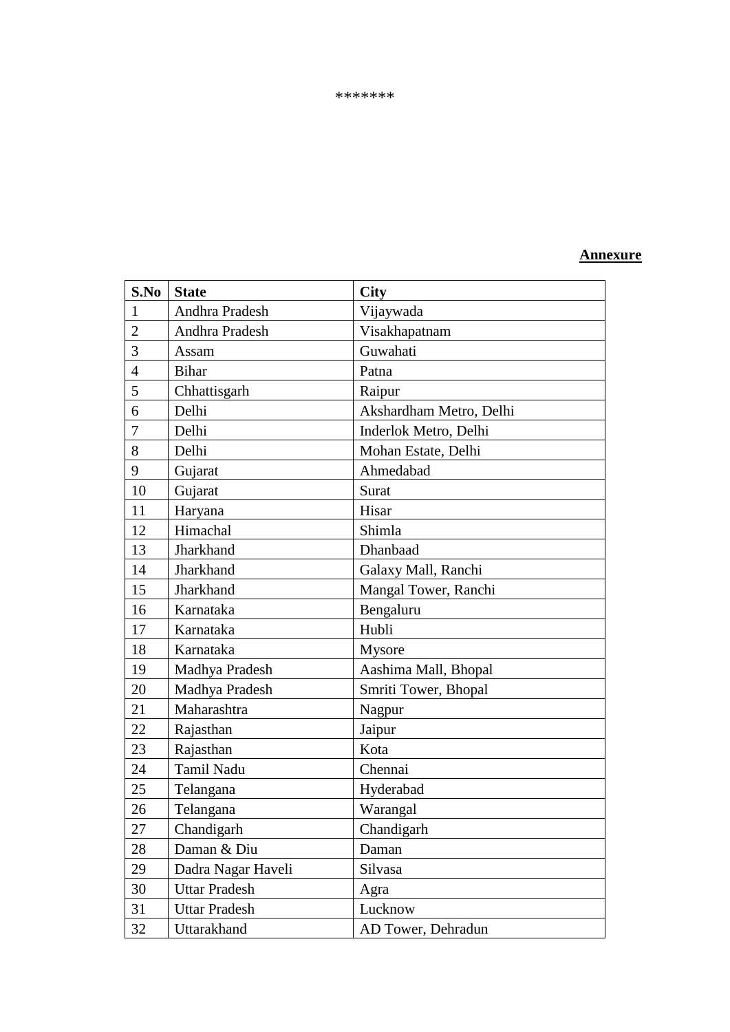### **Annexure**

| S.No           | <b>State</b>         | <b>City</b>             |
|----------------|----------------------|-------------------------|
| $\mathbf{1}$   | Andhra Pradesh       | Vijaywada               |
| $\overline{2}$ | Andhra Pradesh       | Visakhapatnam           |
| 3              | Assam                | Guwahati                |
| $\overline{4}$ | <b>Bihar</b>         | Patna                   |
| 5              | Chhattisgarh         | Raipur                  |
| 6              | Delhi                | Akshardham Metro, Delhi |
| $\overline{7}$ | Delhi                | Inderlok Metro, Delhi   |
| 8              | Delhi                | Mohan Estate, Delhi     |
| 9              | Gujarat              | Ahmedabad               |
| 10             | Gujarat              | Surat                   |
| 11             | Haryana              | Hisar                   |
| 12             | Himachal             | Shimla                  |
| 13             | Jharkhand            | Dhanbaad                |
| 14             | Jharkhand            | Galaxy Mall, Ranchi     |
| 15             | Jharkhand            | Mangal Tower, Ranchi    |
| 16             | Karnataka            | Bengaluru               |
| 17             | Karnataka            | Hubli                   |
| 18             | Karnataka            | Mysore                  |
| 19             | Madhya Pradesh       | Aashima Mall, Bhopal    |
| 20             | Madhya Pradesh       | Smriti Tower, Bhopal    |
| 21             | Maharashtra          | Nagpur                  |
| 22             | Rajasthan            | Jaipur                  |
| 23             | Rajasthan            | Kota                    |
| 24             | Tamil Nadu           | Chennai                 |
| 25             | Telangana            | Hyderabad               |
| 26             | Telangana            | Warangal                |
| 27             | Chandigarh           | Chandigarh              |
| 28             | Daman & Diu          | Daman                   |
| 29             | Dadra Nagar Haveli   | Silvasa                 |
| 30             | <b>Uttar Pradesh</b> | Agra                    |
| 31             | <b>Uttar Pradesh</b> | Lucknow                 |
| 32             | Uttarakhand          | AD Tower, Dehradun      |